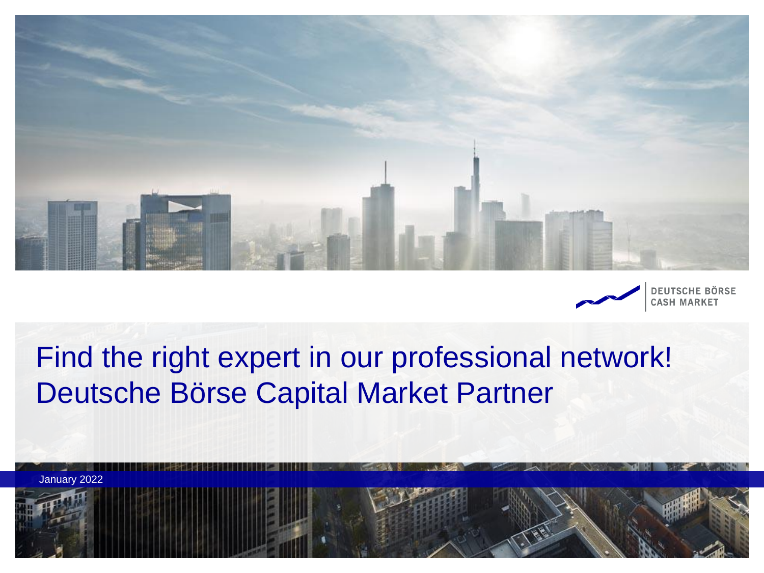



**DEUTSCHE BÖRSE CASH MARKET** 

# Find the right expert in our professional network! Deutsche Börse Capital Market Partner

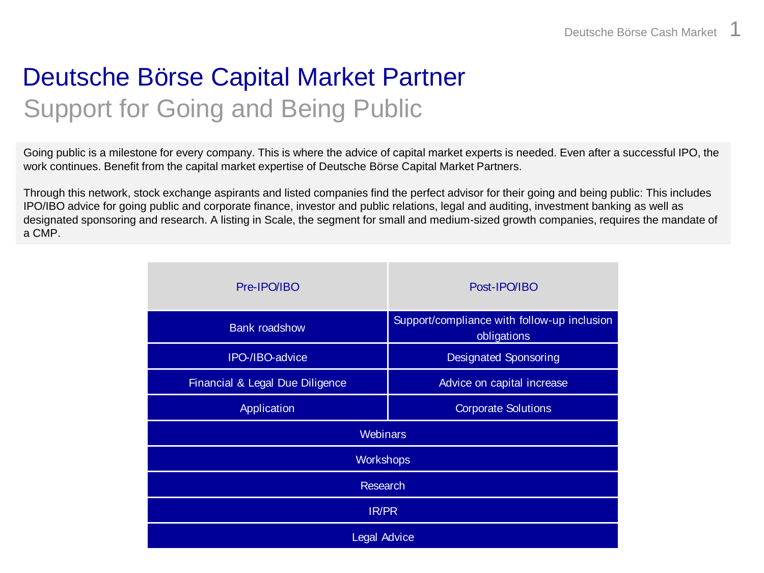## Deutsche Börse Capital Market Partner Support for Going and Being Public

Going public is a milestone for every company. This is where the advice of capital market experts is needed. Even after a successful IPO, the work continues. Benefit from the capital market expertise of Deutsche Börse Capital Market Partners.

Through this network, stock exchange aspirants and listed companies find the perfect advisor for their going and being public: This includes IPO/IBO advice for going public and corporate finance, investor and public relations, legal and auditing, investment banking as well as designated sponsoring and research. A listing in Scale, the segment for small and medium-sized growth companies, requires the mandate of a CMP.

| Pre-IPO/IBO                     | Post-IPO/IBO                                               |
|---------------------------------|------------------------------------------------------------|
| <b>Bank roadshow</b>            | Support/compliance with follow-up inclusion<br>obligations |
| IPO-/IBO-advice                 | <b>Designated Sponsoring</b>                               |
| Financial & Legal Due Diligence | Advice on capital increase                                 |
| Application                     | <b>Corporate Solutions</b>                                 |
| <b>Webinars</b>                 |                                                            |
| <b>Workshops</b>                |                                                            |
| <b>Research</b>                 |                                                            |
| <b>IR/PR</b>                    |                                                            |
| Legal Advice                    |                                                            |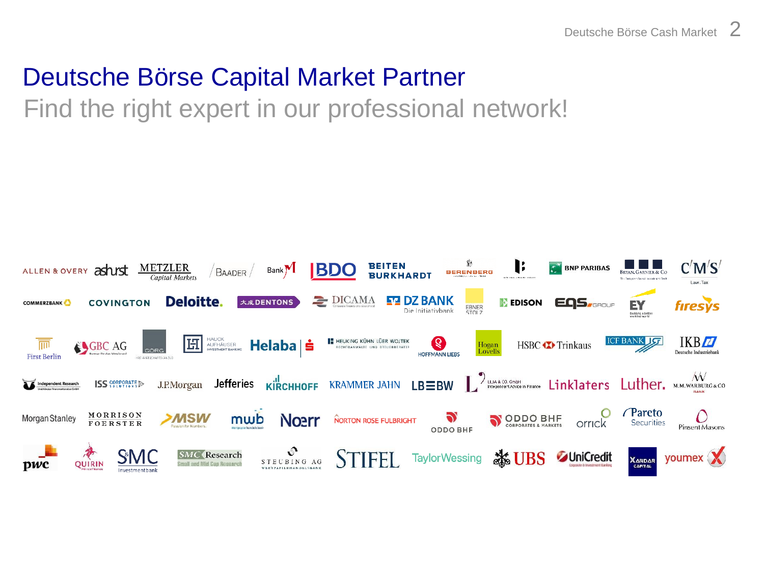### Deutsche Börse Capital Market Partner

Find the right expert in our professional network!

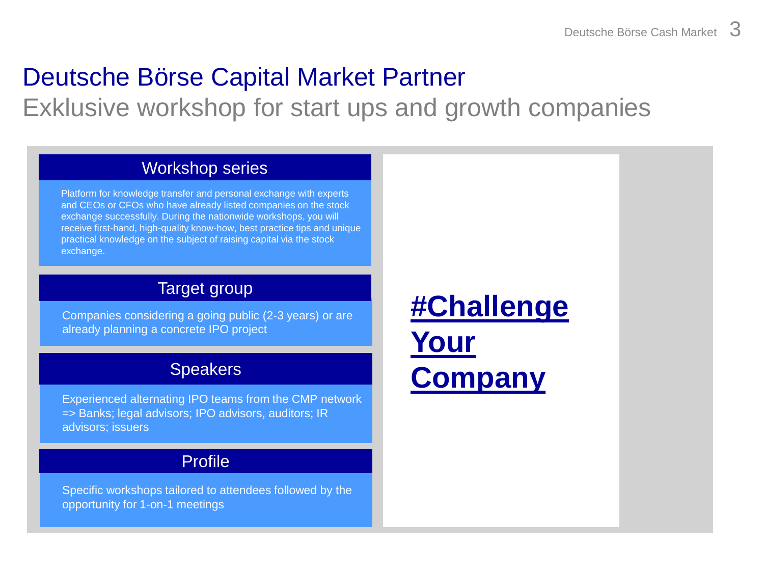## Deutsche Börse Capital Market Partner

Exklusive workshop for start ups and growth companies

#### Workshop series

Platform for knowledge transfer and personal exchange with experts and CEOs or CFOs who have already listed companies on the stock exchange successfully. During the nationwide workshops, you will receive first-hand, high-quality know-how, best practice tips and unique practical knowledge on the subject of raising capital via the stock exchange.

#### Target group

Companies considering a going public (2-3 years) or are already planning a concrete IPO project

#### **Speakers**

Experienced alternating IPO teams from the CMP network => Banks; legal advisors; IPO advisors, auditors; IR advisors; issuers

#### Profile

Specific workshops tailored to attendees followed by the opportunity for 1-on-1 meetings

**[#Challenge](https://www.deutsche-boerse-cash-market.com/dbcm-de/primary-market/going-public/challengeyourcompany) Your [Company](https://www.deutsche-boerse-cash-market.com/dbcm-de/primary-market/going-public/challengeyourcompany)**